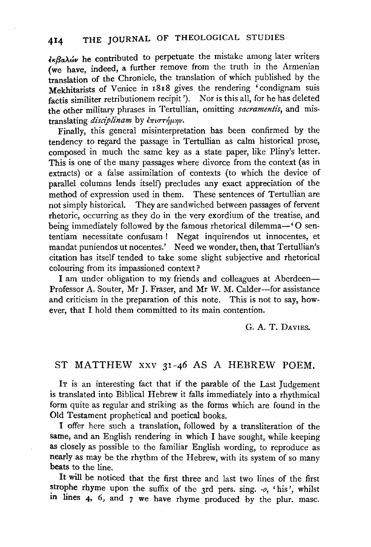$\epsilon \kappa \beta a \lambda \omega$  he contributed to perpetuate the mistake among later writers (we have, indeed, a further remove from the truth in the Armenian translation of the Chronicle, the translation of which published by the Mekhitarists of Venice in 1818 gives the rendering 'condignam suis factis similiter retributionem recipit '). Nor is this all, for he has deleted the other military phrases in Tertullian, omitting *sacramentis*, and mistranslating *disciplinam* by επιστήμην.

Finally, this general misinterpretation has been confirmed by the tendency to regard the passage in Tertullian as calm historical prose, composed in much the same key as a state paper, like Pliny's letter. This is one of the many passages where divorce from the context (as in extracts) or a false assimilation of contexts (to which the device of parallel columns lends itself) precludes any exact appreciation of the method of expression used in them. These sentences of Tertullian are not simply historical. They are sandwiched between passages of fervent rhetoric, occurring as they do in the very exordium of the treatise, and being immediately followed by the famous rhetorical dilemma-' O senentiam necessitate confusam ! Negat inquirendos ut innocentes, et mandat puniendos ut nocentes.' Need we wonder, then, that Tertullian's citation has itself tended to take some slight subjective and rhetorical colouring from its impassioned context?

I am under obligation to my friends and colleagues at Aberdeen-Professor A. Souter, Mr J. Fraser, and Mr W. M. Calder-for assistance and criticism in the preparation of this note. This is not to say, however, that I hold them committed to its main contention.

G. A. T. DAVIES.

## ST MATTHEW XXV 31-46 AS A HEBREW POEM.

IT is an interesting fact that if the parable of the Last Judgement is translated into Biblical Hebrew it falls immediately into a rhythmical form quite as regular and striking as the forms which are found in the Old Testament prophetical and poetical books.

I offer here such a translation, followed by a transliteration of the same, and an English rendering in which I have sought, while keeping as closely as possible to the familiar English wording, to reproduce as nearly as may be the rhythm of the Hebrew, with its system of so many beats to the line.

It will be noticed that the first three and last two lines of the first strophe rhyme upon the suffix of the 3rd pers. sing.  $-$ o,  $\cdot$ his', whilst in lines 4, 6, and 7 we have rhyme produced by the plur. masc.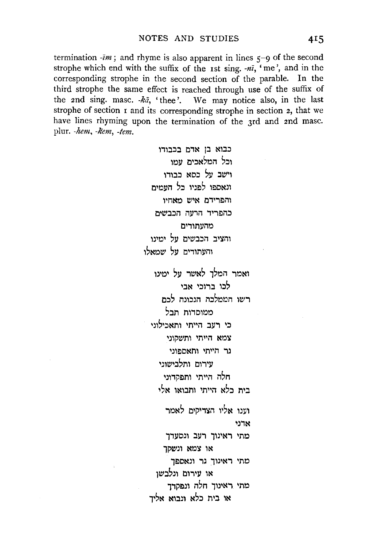termination  $\overline{\cdot}$ *im*; and rhyme is also apparent in lines  $\overline{\varsigma}$ -9 of the second strophe which end with the suffix of the 1st sing.  $-n\bar{i}$ , 'me', and in the corresponding strophe in the second section of the parable. In the third strophe the same effect is reached through use of the suffix of the 2nd sing. masc. ka, 'thee'. We may notice also, in the last strophe of section 1 and its corresponding strophe in section 2, that we have lines rhyming upon the termination of the 3rd and 2nd masc. plur. -hem, -kem, -tem.

> כבוא בן אדם בכבודו וכל המלאכים עמו וישב על כסא כבודו ונאספו לפניו בל הזמים והפרידם איש מאחיו כהפריד הרטה הכבשית מהעתורים והציב הכבשים על ימינו והעתורים על שמאלו ואמר המלך לאשר על ימינו לכו ברוכי אבי רשו הממלכה הנכונה לכת ממוסדות תבל כי רעב הייתי ותאכילוני צמא הייתי ותשקוני נר הייתי ותאספוני עירום ותלבישוני חלה הייתי ותפקדוני בית כלא הייתי ותבואו אלי וענו אליו הצדיקים לאמר אדני מתי ראינוך רעב ונסעדך או צמא ונשקד

> מתי ראינוך גר ונאספך או עירום ונלבשו מתי ראינוך חלה ונפקדך או בית כלא ונבוא אליד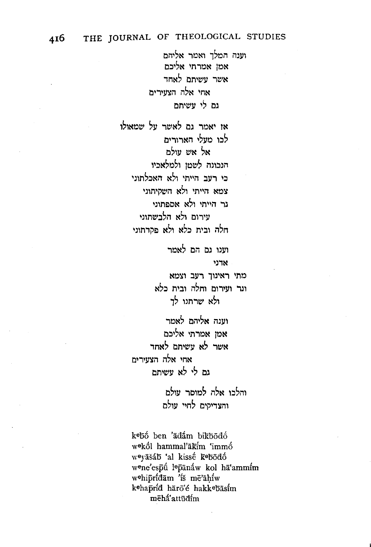וענה המלד ואמר אליהם אמו אמרתי אליכם אשר עשיתם לאחר אחי אלה הצעירים נם לי עשיתם

או יאמר גם לאשר על שמאולו לכו מעלי הארורים אל אש עולם הנכונה לשטו ולמלאכיו כי רעב הייתי ולא האכלתוני צמא הייתי ולא השסיתוני נר הייתי ולא אספתוני שירום ולא הלבשתוני חלה ובית כלא ולא פקרתוני

> וענו גם הם לאמר אדני מתי ראינוך רעב וצמא

ונר וטירום וחלה ובית כלא ולא שרתנו לר

וענה אליהם לאמר אמו אמרתי אליכם אשר לא נישיתם לאחד אחי אלה הצעירית נת לי לא עשיתה

> והלכו אלה למוסר עולם והצדיקים לחיי עולם

kebő ben 'ädám bikbodó wekól hammal'ākim 'immó weyāšáb 'al kissé kebodó wene'espū lepānaw kol hā'ammim wehipridam is me'ahiw kehapríd härö'é hakkebäsím mēhá'attūdim

416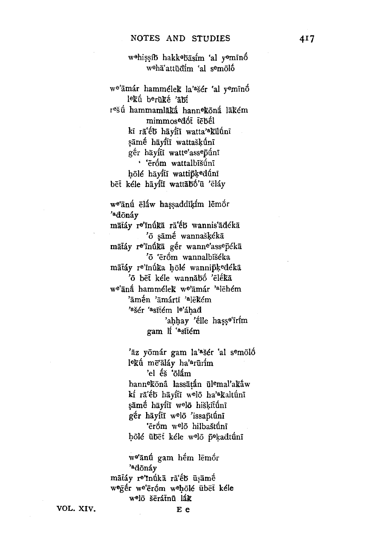w<sup>o</sup>hissíb hakk<sup>e</sup>bāsím 'al y<sup>o</sup>mīnó weha'attūdim 'al semolo

we'amár hammélek la'asér 'al yeminó lekú berüké 'abí r<sup>e</sup>šū́ hammamlākā́ hann<sup>e</sup>kōnā́ lākém mimmosedót tebél kī rā'eb hāyitī watta'akilunī sāmé hāyftī wattašķūnī ger häyfti watte'asseptini · 'ēróm wattalbīšūnī hōlé hāyitī wattipķ<sup>e</sup>dū́nī bēt kéle hāyfti wattābó'ū 'ēláy we'anú eláw hassaddikím lemór 'adonáy mātáv re'īnúkā rā'éb wannis'ādékā 'ō sāmḗ wannašķékā mātáy re'inúkā gér wanne'assepeka 'ō 'ēróm wannalbīšéka mātáy re'inúka hōlé wannipķedékā 'ō bēt kéle wannābó 'ēlékā we'aná hammélek we'amár 'alehém 'āmén 'āmártī 'alēkém 'ašér 'asītém le'áhad 'ahhay 'élle hasse'irim gam If 'asitem

> 'āz yōmár gam la'ašér 'al semöló lekú mē'āláv ha'<sup>a</sup>rūrím 'el éš 'ōlám hannekona lassātán ūlemal'akáw kí ra'éb hayíti welő ha'akaltúni sāmé hāyftī welō hiškituni gér hāyftī welō 'issaptunī 'ēróm w<sup>e</sup>lō hilbaštúnī hölé übet kéle welö pekadtúni

w<sup>e</sup>'ānu gam hém lēmór າ<br>dōnáv mātáy re'inūkā rā'éb ūsāmé weger we'eróm wehōle ūbet kele welö šērátnū lák

VOL. XIV.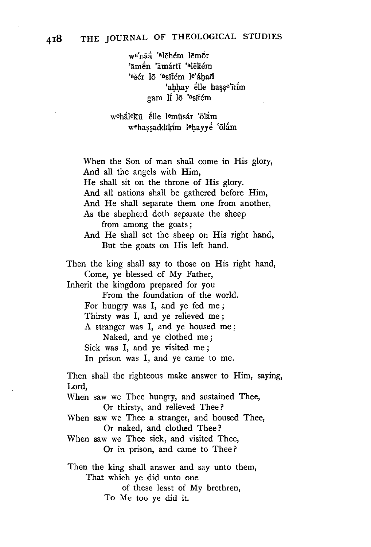we'naa<sup>'a</sup>lehem lemor 'āmén 'āmártī 'ªlēkém 'ašér lō 'asītém le'áhad 'ahhay élle hasse'irim gam Ii 16 'asitem

wehálekū élle lemūsár 'ölám wehassaddīkim lehavye 'ölam

When the Son of man shall come in His glory, And all the angels with Him, He shall sit on the throne of His glory. And all nations shall be gathered before Him, And He shall separate them one from another, As the shepherd doth separate the sheep from among the goats; And He shall set the sheep on His right hand, But the goats on His left hand. Then the king shall say to those on His right hand, Come, ye blessed of My Father, Inherit the kingdom prepared for you From the foundation of the world. For hungry was I, and ye fed me; Thirsty was I, and ye relieved me ; A stranger was I, and ye housed me ; Naked, and ye clothed me; Sick was I, and ye visited me ; In prison was I, and ye came to me. Then shall the righteous make answer to Him, saying, Lord, When saw we Thee hungry, and sustained Thee, Or thirsty, and relieved Thee? When saw we Thee a stranger, and housed Thee, Or naked, and clothed Thee? When saw we Thee sick, and visited Thee, Or in prison, and came to Thee? Then the king shall answer and say unto them,

That which ye did unto one of these least of My brethren, To Me too ye did it.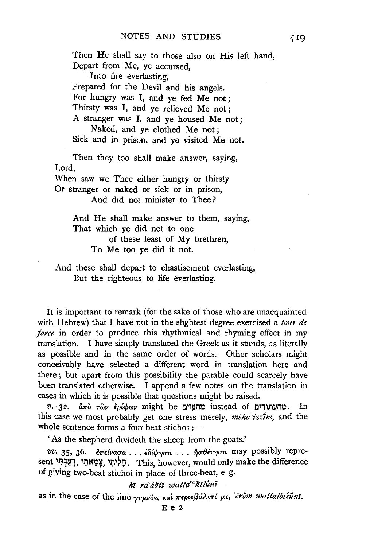Then He shall say to those also on His left hand, Depart from Me, ye accursed, Into fire everlasting, Prepared for the Devil and his angels. For hungry was I, and ye fed Me not; Thirsty was I, and ye relieved Me not ; A stranger was I, and ye housed Me not ; Naked, and ye clothed Me not ; Sick and in prison, and ye visited Me not. Then they too shall make answer, saying, Lord, When saw we Thee either hungry or thirsty Or stranger or naked or sick or in prison, And did not minister to Thee ? And He shall make answer to them, saying, That which ye did not to one of these least of My brethren, To Me too ye did it not.

And these shall depart to chastisement everlasting, But the righteous to life everlasting.

It is important to remark (for the sake of those who are unacquainted with Hebrew) that I have not in the slightest degree exercised a *tour de force* in order to produce this rhythmical and rhyming effect in my translation. I have simply translated the Greek as it stands, as literally as possible and in the same order of words. Other scholars might conceivably have selected a different word in translation here and there; but apart from this possibility the parable could scarcely have been translated otherwise. I append a few notes on the translation in cases in which it is possible that questions might be raised.

*v.*  $32.$  and  $\tau$ <sub>0</sub>  $\epsilon$  $\mu$  $\phi$   $\omega$  might be an angly instead of convertion. In this case we most probably get one stress merely, meha<sup>t</sup>izzim, and the whole sentence forms a four-beat stichos :-

'As the shepherd divideth the sheep from the goats.'

*vv.* 35, 36. *l1rdva.ua.* ••• *£Bbfrqua.* .•• *T]rrfUv'Y]ua.* may possibly represent הַלְיְתִי צַמֵאתִי, רָעֲבְתִּי, This, however, would only make the difference of giving two-beat stichoi in place of three-beat, e. g.

*ki ra'd/Jti watta'alllluni* 

as in the case of the line *γυμνός, και περιεβάλετέ με, 'erom wattalbišuni*.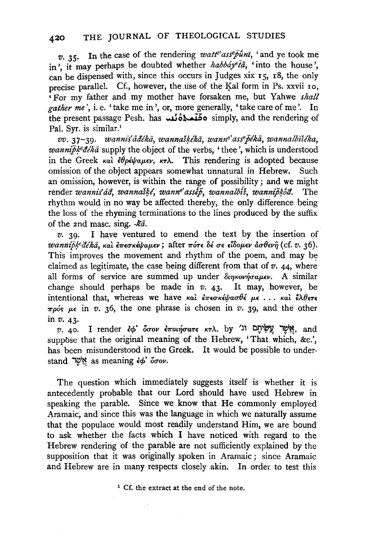$v.$  35. In the case of the rendering *watte*'ass<sup>ep</sup> $\bar{p}$ *imi*, ' and ye took me in', it may perhaps be doubted whether *habbáy<sup>e</sup>ta*, 'into the house'. can be dispensed with, since this occurs in Judges xix  $r_5$ ,  $r_8$ , the only precise parallel. Cf., however, the use of the Kal form in Ps. xxvii 10, 'For my father and my mother have forsaken me, but Yahwe *shall gather me'*, i.e. 'take me in', or, more generally, 'take care of me'. In the present passage Pesh. has  $\overrightarrow{\text{max}}$  simply, and the rendering of Pal. Syr. is similar.<sup>1</sup>

*vv.* 37-39. *wannzs'iiaekii, wanna'#lka, wanne'assejlkii, wannalbiseka,*  wanni $\bar{p}k^e d\acute{e}k\bar{a}$  supply the object of the verbs, 'thee', which is understood in the Greek  $\kappa a$   $\partial \rho \epsilon \psi a \mu \epsilon \nu$ ,  $\kappa \tau \lambda$ . This rendering is adopted because omission of the object appears somewhat unnatural in Hebrew. Such an omission, however, is within the range of possibility; and we might render *wannis'ád*, wannašķé, wanne' assēp, wannalbiš, wannipkod. The rhythm would in no way be affected thereby; the only difference being the loss of the rhyming terminations to the lines produced by the suffix of the 2nd masc. sing. *-Rii.* 

*v.* 39· I have ventured to emend the text by the insertion of *wannipk<sup>e</sup>dékā*, και επεσκέψαμεν; after πότε δέ σε είδομεν ασθενη (cf. v. 36). This improves the movement and rhythm of the poem, and may be claimed as legitimate, the case being different from that of  $v$ .  $44$ , where all forms of service are summed up under  $\delta$ *inkovnjoulev.* A similar change should perhaps be made in *v.* 43· It may, however, be intentional that, whereas we have και επεσκέψασθέ με... και έλθετε  $\pi p \circ s$   $\mu \in \text{in}$  *v.* 36, the one phrase is chosen in *v.* 39, and the other in *v.* 43·

*v.* 40. I render *εφ' δσον εποιήσατε κτλ.* by 'ii νον' νο και and suppose that the original meaning of the Hebrew, 'That which, &c.', has been misunderstood in the Greek. It would be possible to understand ,\?'~ as meaning *£cp' ouov.* 

The question which immediately suggests itself is whether it is antecedently probable that our Lord should have used Hebrew in speaking the parable. Since we know that He commonly employed Aramaic, and since this was the language in which we naturally assume that the populace would most readily understand Him, we are bound to ask whether the facts which I have noticed with regard to the Hebrew rendering of the parable are not sufficiently explained by the supposition that it was originally spoken in Aramaic; since Aramaic and Hebrew are in many respects closely akin. In order to test this

<sup>1</sup> Cf. the extract at the end of the note.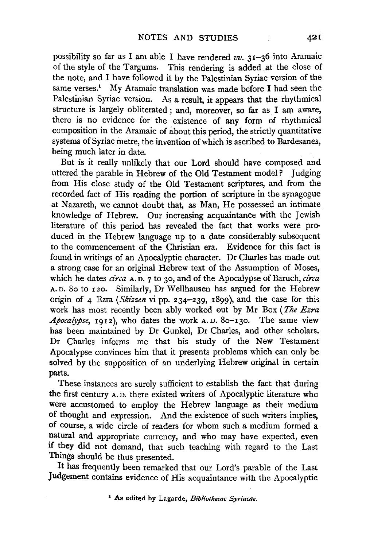possibility so far as I am able I have rendered *vv.* 31-36 into Aramaic of the style of the Targums. This rendering is added at the close of the note, and I have followed it by the Palestinian Syriac version of the same verses.<sup>1</sup> My Aramaic translation was made before I had seen the Palestinian Syriac version. As a result, it appears that the rhythmical structure is largely obliterated; and, moreover, so far as I am aware, there is no evidence for the existence of any form of rhythmical composition in the Aramaic of about this period, the strictly quantitative systems of Syriac metre, the invention of which is ascribed to Bardesanes, being much later in date.

But is it really unlikely that our Lord should have composed and uttered the parable in Hebrew of the Old Testament model? Judging from His close study of the Old Testament scriptures, and from the recorded fact of His reading the portion of scripture in the synagogue at Nazareth, we cannot doubt that, as Man, He possessed an intimate knowledge of Hebrew. Our increasing acquaintance with the Jewish literature of this period has revealed the fact that works were produced in the Hebrew language up to a date considerably subsequent to the commencement of the Christian era. Evidence for this fact is found in writings of an Apocalyptic character. Dr Charles has made out a strong case for an original Hebrew text of the Assumption of Moses, which he dates *circa* A. D. 7 to 30, and of the Apocalypse of Baruch, *circa*  A. D. So to 120. Similarly, Dr Wellhausen has argued for the Hebrew origin of 4 Ezra *(Skizzen* vi pp. 234-239, 1899), and the case for this work has most recently been ably worked out by Mr Box *(The Ezra Apocalypse,* 1912), who dates the work A. D. So-130. The same view has been maintained by Dr Gunkel, Dr Charles, and other scholars. Dr Charles informs me that his study of the New Testament Apocalypse convinces him that it presents problems which can only be solved by the supposition of an underlying Hebrew original in certain parts.

These instances are surely sufficient to establish the fact that during the first century A. D. there existed writers of Apocalyptic literature who were accustomed to employ the Hebrew language as their medium of thought and expression. And the existence of such writers implies, of course, a wide circle of readers for whom such a medium formed a natural and appropriate currency, and who may have expected, even if they did not demand, that such teaching with regard to the Last Things should be thus presented.

It has frequently been remarked that our Lord's parable of the Last Judgement contains evidence of His acquaintance with the Apocalyptic

<sup>1</sup> As edited by Lagarde, *Bibliothecae Syriacae.*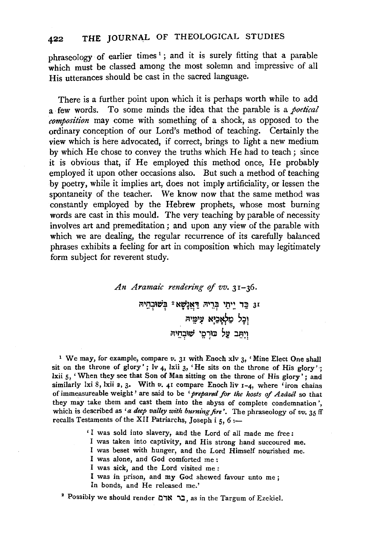phraseology of earlier times<sup>1</sup>; and it is surely fitting that a parable which must be classed among the most solemn and impressive of all His utterances should be cast in the sacred language.

There is a further point upon which it is perhaps worth while to add a few words. To some minds the idea that the parable is a *poetical composition* may come with something of a shock, as opposed to the ordinary conception of our Lord's method of teaching. Certainly the view which is here advocated, if correct, brings to light a new medium by which He chose to convey the truths which He had to teach; since it is obvious that, if He employed this method once, He probably employed it upon other occasions also. But such a method of teaching by poetry, while it implies art, does not imply artificiality, or lessen the spontaneity of the teacher. We know now that the same method was constantly employed by the Hebrew prophets, whose most burning words are cast in this mould. The very teaching by parable of necessity involves art and premeditation ; and upon any view of the parable with which we are dealing, the regular recurrence of its carefully balanced phrases exhibits a feeling for art in composition which may legitimately form subject for reverent study.

> *An Aramaic renden"ng of vv.* 31-36. וּ בֵּד יֵיְתֵי בְּרֵיהּ דַּאֲנָשָׁא<sup>ַ</sup> בְּשׁוּּבְחֵיהּ i=l~!ll~31 N':J~t:l ~:Jl •• • **T- T: - T:**  וַיִּתְּב עַל כּוּרְםֵי שׁוּבְחִיה

<sup>1</sup> We may, for example, compare *v*. 31 with Enoch xlv 3, 'Mine Elect One shall sit on the throne of glory'; Iv  $_4$ , lxii  $_3$ , 'He sits on the throne of His glory'; lxii 5, 'When they see that Son of Man sitting on the throne of His glory' ; and simply which they see that con or hain sitting on the throne or 1115 giory; and<br>with live 1-4, which are a With at a company Enoch live to a law of the three thron chains of the three thron chains of of immeasureable weight' are said to be *f* turning for the host of Azii *s*o that is the solution of immeasureable weight' are said to be '*prepared for the hosts of Azazel* so that they may take them and cast them into the abyss of complete condemnation', ey may take them and cast them into the abyss of complete condemnation?,<br>hich is described as *'a deep valley with burning fire'*. The phraseology of *vv.* 35 ff<br>realls Testaments of the XII Patriarchs, Joseph i 5, 6...

' I was sold into slavery, and the Lord of all made me free:

- I was taken into captivity, and His strong hand succoured me.
- I was beset with hunger, and the Lord Himself nourished me.
- I was alone, and God comforted me :
- I was sick, and the Lord visited me :
- I was in prison, and my God shewed favour unto me ; In bonds, and He released me.'

## <sup>2</sup> Possibly we should render בר אדם, as in the Targum of Ezekiel.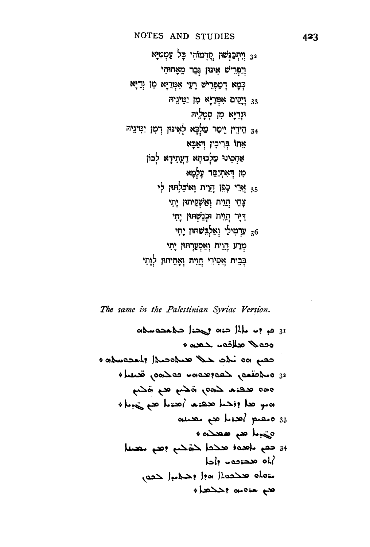~!l;'?l! ~f ';:Ji~1~, J'W~~J;1~1 32 ~;:J~nttl:? -,;~ ~~~~e:e w~~~1 M!'!~ ~~ ~!1'ft:C ~P,1 w~1~~1 N9f i=l~~~~~ ~~ N!1'ft:C C'i?~1 33 i=l\~9 ~~ !:<!'!?~ i=l~~~~ 1~1 fU~t:e? Nf?~ ,~~~ ':!~;:'! 34 ~ftt"! p~~!~ in~ ~::~? tt1~J:IP,1 tt~o?~ ~J~I?~tt ttrt?v ,!p~~t:e"! r~ ~~ l~r-l?;liM1 n~~n l!;l~ ~1~ 35 ~t~: ~n~~~tt1 M<sup>1</sup> ,.n 'tl~ ~t~: l~r-l~~1~ n~,.q ,!"! ~t~: r~r.1w~?tt1 ~~~1;)11! 36 ~ t~: l~r-lll!9tt1 n•m ll1'? ~t~l? ~n~ott1 n~~n ~1'1?~ n·~

The same in the Palestinian Syriac Version.

otb-o..:-~ )~? ot~ JL)... .. ? ~ 31 <sup>+</sup>~ .. al)Jl.» '-Q..::Io <sup>+</sup>ot~o..:-L? J~o~ ~ ~~ 001 ~ <sup>+</sup>~ ,o~QD .. ot~U~:~?~ ,~~o 3l ~0, ~ ~0, ,o~ ... ~ ooto <sup>+</sup>)...~ ~ J...~? ... ~ ~;, J.» rot ~ ~ *)...;..»(* ~0 <sup>33</sup> ·~~J...~o ~ ~? ~~ ~~ ;o..»)... ~ <sup>34</sup> bl? .. QD~ oL( ,~ ),..~? hot )l~ oLo~ +~? ~o;.a. t-'11)

 $\sim$   $\sim$